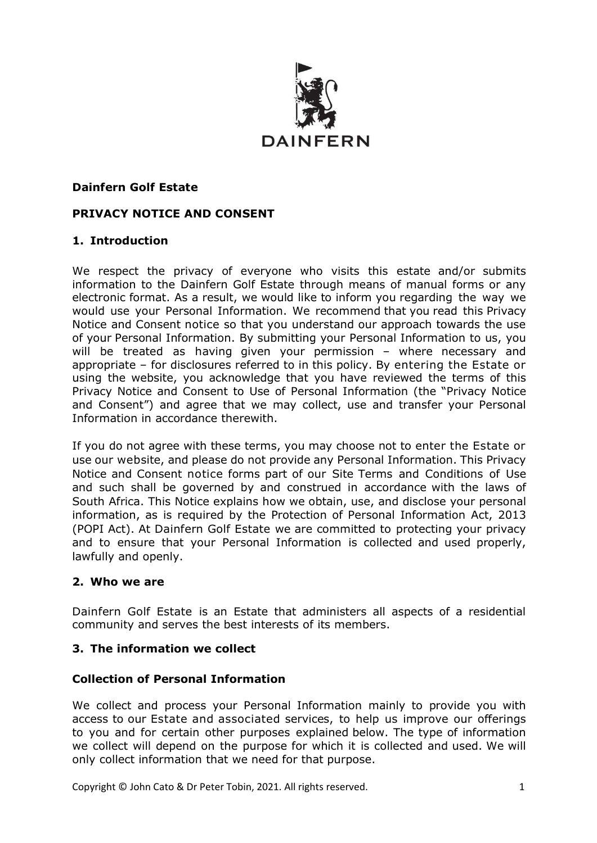

### **Dainfern Golf Estate**

### **PRIVACY NOTICE AND CONSENT**

### **1. Introduction**

We respect the privacy of everyone who visits this estate and/or submits information to the Dainfern Golf Estate through means of manual forms or any electronic format. As a result, we would like to inform you regarding the way we would use your Personal Information. We recommend that you read this Privacy Notice and Consent notice so that you understand our approach towards the use of your Personal Information. By submitting your Personal Information to us, you will be treated as having given your permission – where necessary and appropriate – for disclosures referred to in this policy. By entering the Estate or using the website, you acknowledge that you have reviewed the terms of this Privacy Notice and Consent to Use of Personal Information (the "Privacy Notice and Consent") and agree that we may collect, use and transfer your Personal Information in accordance therewith.

If you do not agree with these terms, you may choose not to enter the Estate or use our website, and please do not provide any Personal Information. This Privacy Notice and Consent notice forms part of our Site Terms and [Conditions](http://www.bd.com/za/legal/terms.asp) of Use and such shall be governed by and construed in accordance with the laws of South Africa. This Notice explains how we obtain, use, and disclose your personal information, as is required by the Protection of Personal Information Act, 2013 (POPI Act). At Dainfern Golf Estate we are committed to protecting your privacy and to ensure that your Personal Information is collected and used properly, lawfully and openly.

#### **2. Who we are**

Dainfern Golf Estate is an Estate that administers all aspects of a residential community and serves the best interests of its members.

## **3. The information we collect**

#### **Collection of Personal Information**

We collect and process your Personal Information mainly to provide you with access to our Estate and associated services, to help us improve our offerings to you and for certain other purposes explained below. The type of information we collect will depend on the purpose for which it is collected and used. We will only collect information that we need for that purpose.

Copyright © John Cato & Dr Peter Tobin, 2021. All rights reserved. 1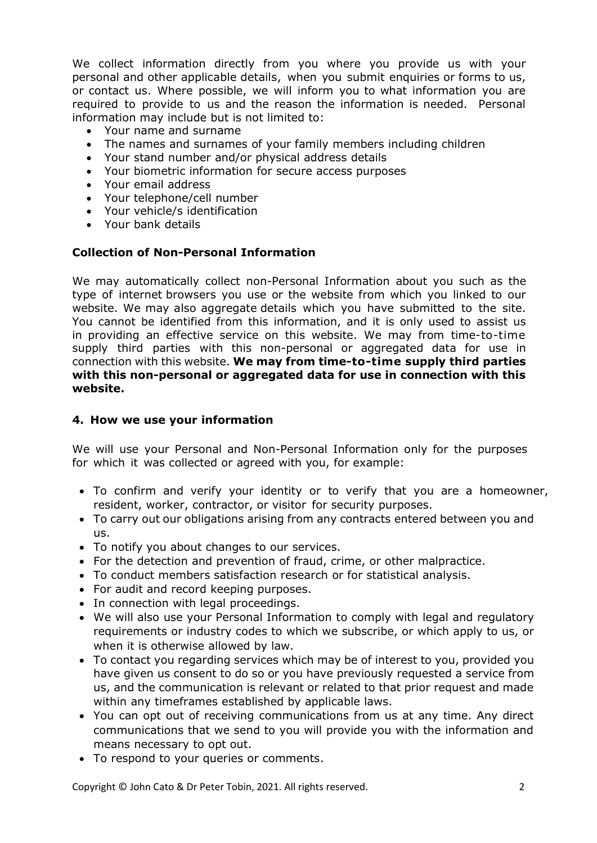We collect information directly from you where you provide us with your personal and other applicable details, when you submit enquiries or forms to us, or contact us. Where possible, we will inform you to what information you are required to provide to us and the reason the information is needed. Personal information may include but is not limited to:

- Your name and surname
- The names and surnames of your family members including children
- Your stand number and/or physical address details
- Your biometric information for secure access purposes
- Your email address
- Your telephone/cell number
- Your vehicle/s identification
- Your bank details

### **Collection of Non-Personal Information**

We may automatically collect non-Personal Information about you such as the type of internet browsers you use or the website from which you linked to our website. We may also aggregate details which you have submitted to the site. You cannot be identified from this information, and it is only used to assist us in providing an effective service on this website. We may from time-to-time supply third parties with this non-personal or aggregated data for use in connection with this website. **We may from time-to-time supply third parties with this non-personal or aggregated data for use in connection with this website.**

#### **4. How we use your information**

We will use your Personal and Non-Personal Information only for the purposes for which it was collected or agreed with you, for example:

- To confirm and verify your identity or to verify that you are a homeowner, resident, worker, contractor, or visitor for security purposes.
- To carry out our obligations arising from any contracts entered between you and us.
- To notify you about changes to our services.
- For the detection and prevention of fraud, crime, or other malpractice.
- To conduct members satisfaction research or for statistical analysis.
- For audit and record keeping purposes.
- In connection with legal proceedings.
- We will also use your Personal Information to comply with legal and regulatory requirements or industry codes to which we subscribe, or which apply to us, or when it is otherwise allowed by law.
- To contact you regarding services which may be of interest to you, provided you have given us consent to do so or you have previously requested a service from us, and the communication is relevant or related to that prior request and made within any timeframes established by applicable laws.
- You can opt out of receiving communications from us at any time. Any direct communications that we send to you will provide you with the information and means necessary to opt out.
- To respond to your queries or comments.

Copyright © John Cato & Dr Peter Tobin, 2021. All rights reserved. 2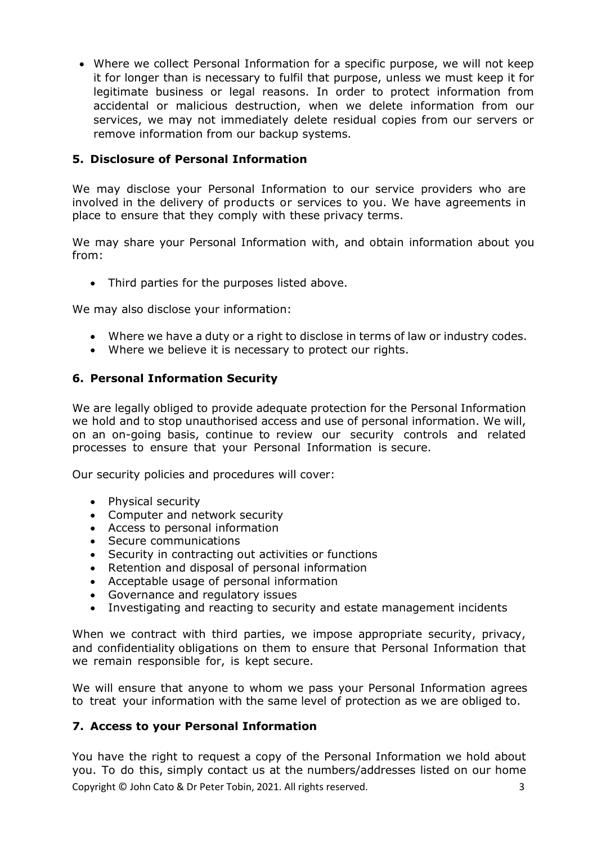• Where we collect Personal Information for a specific purpose, we will not keep it for longer than is necessary to fulfil that purpose, unless we must keep it for legitimate business or legal reasons. In order to protect information from accidental or malicious destruction, when we delete information from our services, we may not immediately delete residual copies from our servers or remove information from our backup systems.

# **5. Disclosure of Personal Information**

We may disclose your Personal Information to our service providers who are involved in the delivery of products or services to you. We have agreements in place to ensure that they comply with these privacy terms.

We may share your Personal Information with, and obtain information about you from:

• Third parties for the purposes listed above.

We may also disclose your information:

- Where we have a duty or a right to disclose in terms of law or industry codes.
- Where we believe it is necessary to protect our rights.

## **6. Personal Information Security**

We are legally obliged to provide adequate protection for the Personal Information we hold and to stop unauthorised access and use of personal information. We will, on an on-going basis, continue to review our security controls and related processes to ensure that your Personal Information is secure.

Our security policies and procedures will cover:

- Physical security
- Computer and network security
- Access to personal information
- Secure communications
- Security in contracting out activities or functions
- Retention and disposal of personal information
- Acceptable usage of personal information
- Governance and regulatory issues
- Investigating and reacting to security and estate management incidents

When we contract with third parties, we impose appropriate security, privacy, and confidentiality obligations on them to ensure that Personal Information that we remain responsible for, is kept secure.

We will ensure that anyone to whom we pass your Personal Information agrees to treat your information with the same level of protection as we are obliged to.

## **7. Access to your Personal Information**

Copyright © John Cato & Dr Peter Tobin, 2021. All rights reserved. 3 You have the right to request a copy of the Personal Information we hold about you. To do this, simply contact us at the numbers/addresses listed on our home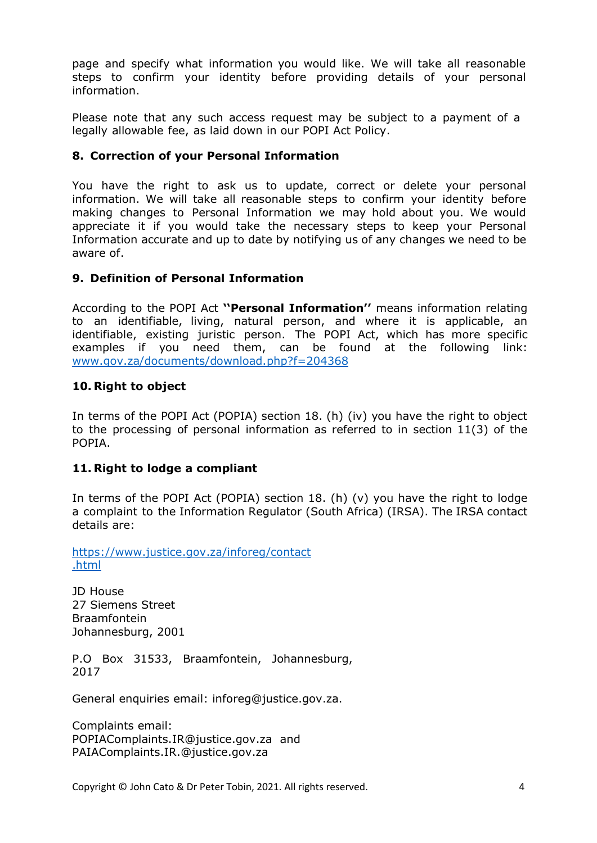page and specify what information you would like. We will take all reasonable steps to confirm your identity before providing details of your personal information.

Please note that any such access request may be subject to a payment of a legally allowable fee, as laid down in our POPI Act Policy.

## **8. Correction of your Personal Information**

You have the right to ask us to update, correct or delete your personal information. We will take all reasonable steps to confirm your identity before making changes to Personal Information we may hold about you. We would appreciate it if you would take the necessary steps to keep your Personal Information accurate and up to date by notifying us of any changes we need to be aware of.

## **9. Definition of Personal Information**

According to the POPI Act **''Personal Information''** means information relating to an identifiable, living, natural person, and where it is applicable, an identifiable, existing juristic person. The POPI Act, which has more specific examples if you need them, can be found at the following link: [www.gov.za/documents/download.php?f=204368](http://www.gov.za/documents/download.php?f=204368)

## **10. Right to object**

In terms of the POPI Act (POPIA) section 18. (h) (iv) you have the right to object to the processing of personal information as referred to in section 11(3) of the POPIA.

## **11. Right to lodge a compliant**

In terms of the POPI Act (POPIA) section 18. (h) (v) you have the right to lodge a complaint to the Information Regulator (South Africa) (IRSA). The IRSA contact details are:

[https://www.justice.gov.za/inforeg/contact](https://www.justice.gov.za/inforeg/contact.html) [.html](https://www.justice.gov.za/inforeg/contact.html)

JD House 27 Siemens Street Braamfontein Johannesburg, 2001

P.O Box 31533, Braamfontein, Johannesburg, 2017

General enquiries email: inforeg@justice.gov.za.

Complaints email: POPIAComplaints.IR@justice.gov.za and PAIAComplaints.IR.@justice.gov.za

Copyright © John Cato & Dr Peter Tobin, 2021. All rights reserved. 4